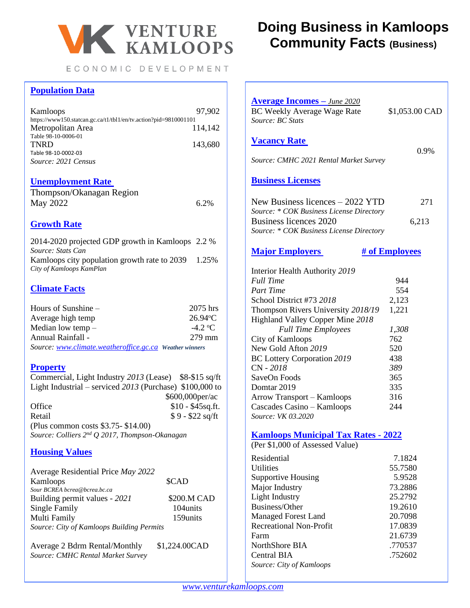

ECONOMIC DEVELOPMENT

## **Population Data**

| Kamloops                                                         | 97.902  |
|------------------------------------------------------------------|---------|
| https://www150.statcan.gc.ca/t1/tbl1/en/tv.action?pid=9810001101 |         |
| Metropolitan Area                                                | 114,142 |
| Table 98-10-0006-01                                              |         |
| <b>TNRD</b>                                                      | 143,680 |
| Table 98-10-0002-03                                              |         |
| Source: 2021 Census                                              |         |
|                                                                  |         |

#### **Unemployment Rate**

| Thompson/Okanagan Region |      |
|--------------------------|------|
| May 2022                 | 6.2% |

## **Growth Rate**

2014-2020 projected GDP growth in Kamloops 2.2 % *Source: Stats Can*  Kamloops city population growth rate to 2039 1.25% *City of Kamloops KamPlan*

## **Climate Facts**

| Hours of Sunshine –                                     | 2075 hrs          |
|---------------------------------------------------------|-------------------|
| Average high temp                                       | $26.94^{\circ}$ C |
| Median low temp $-$                                     | $-4.2 °C$         |
| Annual Rainfall -                                       | 279 mm            |
| Source: www.climate.weatheroffice.gc.ca Weather winners |                   |

## **Property**

Commercial, Light Industry *2013* (Lease) \$8-\$15 sq/ft Light Industrial – serviced *2013* (Purchase) \$100,000 to \$600,000per/ac Office \$10 - \$45sq.ft. Retail  $$9 - $22$  sq/ft (Plus common costs \$3.75- \$14.00) *Source: Colliers 2 nd Q 2017, Thompson-Okanagan*

### **Housing Values**

| Average Residential Price May 2022        |             |
|-------------------------------------------|-------------|
| Kamloops                                  | \$CAD       |
| Sour BCREA bcrea@bcrea.bc.ca              |             |
| Building permit values - 2021             | \$200.M CAD |
| Single Family                             | 104units    |
| Multi Family                              | 159units    |
| Source: City of Kamloops Building Permits |             |

Average 2 Bdrm Rental/Monthly \$1,224.00CAD *Source: CMHC Rental Market Survey*

# **Doing Business in Kamloops Community Facts (Business)**

| <b>Average Incomes</b> - June 2020<br>BC Weekly Average Wage Rate<br>Source: BC Stats | \$1,053.00 CAD        |
|---------------------------------------------------------------------------------------|-----------------------|
| <b>Vacancy Rate</b>                                                                   |                       |
| Source: CMHC 2021 Rental Market Survey                                                | 0.9%                  |
| <b>Business Licenses</b>                                                              |                       |
| New Business licences – 2022 YTD<br>Source: * COK Business License Directory          | 271                   |
| Business licences 2020<br>Source: * COK Business License Directory                    | 6,213                 |
| <b>Major Employers</b>                                                                | <b># of Employees</b> |
| Interior Health Authority 2019                                                        |                       |
| <b>Full Time</b>                                                                      | 944                   |
| <b>Part Time</b>                                                                      | 554                   |
| School District #73 2018                                                              | 2,123                 |
| Thompson Rivers University 2018/19                                                    | 1,221                 |
| Highland Valley Copper Mine 2018                                                      |                       |
| <b>Full Time Employees</b>                                                            | 1,308                 |
| City of Kamloops<br>New Gold Afton 2019                                               | 762                   |
|                                                                                       | 520<br>438            |
| <b>BC Lottery Corporation 2019</b><br>CN - 2018                                       | 389                   |
| SaveOn Foods                                                                          | 365                   |
| Domtar 2019                                                                           | 335                   |
| Arrow Transport - Kamloops                                                            | 316                   |
| Cascades Casino - Kamloops                                                            | 244                   |
| Source: VK 03.2020                                                                    |                       |
|                                                                                       |                       |
| <b>Kamloops Municipal Tax Rates - 2022</b><br>(Per \$1,000 of Assessed Value)         |                       |
| Residential                                                                           | 7.1824                |
| <b>Utilities</b>                                                                      | 55.7580               |
| <b>Supportive Housing</b>                                                             | 5.9528                |
| Major Industry                                                                        | 73.2886               |
| <b>Light Industry</b>                                                                 | 25.2792               |
| Business/Other                                                                        | 19.2610               |
| <b>Managed Forest Land</b>                                                            | 20.7098               |
| <b>Recreational Non-Profit</b>                                                        | 17.0839               |
| Farm                                                                                  | 21.6739               |
| NorthShore BIA                                                                        | .770537               |
| Central BIA                                                                           | .752602               |
| Source: City of Kamloops                                                              |                       |
|                                                                                       |                       |